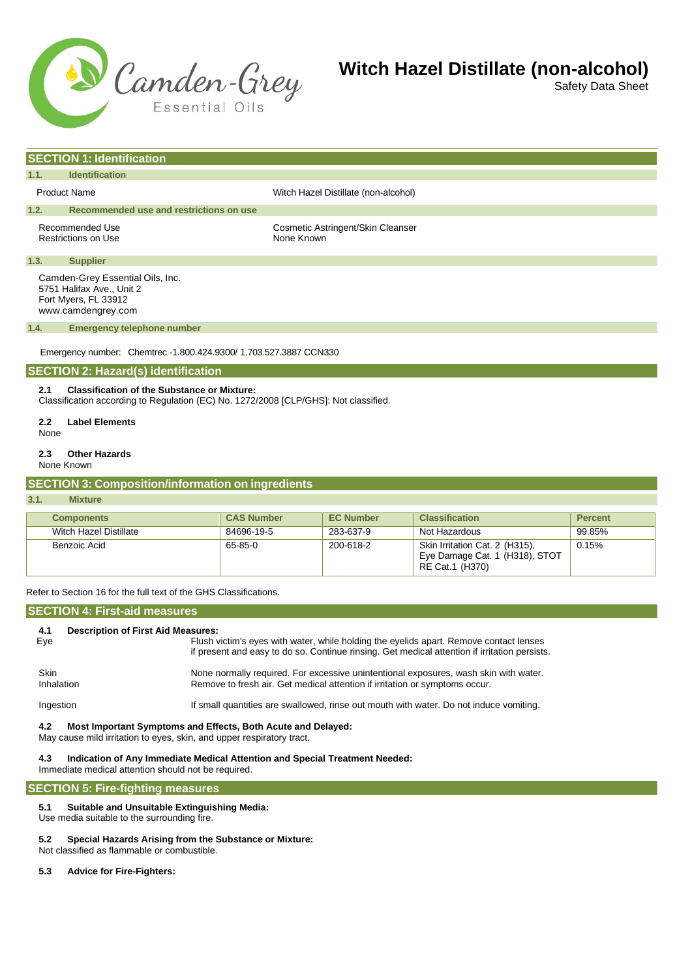

Safety Data Sheet

|                                                                                                                                                   | <b>SECTION 1: Identification</b>                                                                            |                                                 |  |  |  |
|---------------------------------------------------------------------------------------------------------------------------------------------------|-------------------------------------------------------------------------------------------------------------|-------------------------------------------------|--|--|--|
| 1.1.                                                                                                                                              | <b>Identification</b>                                                                                       |                                                 |  |  |  |
| <b>Product Name</b>                                                                                                                               |                                                                                                             | Witch Hazel Distillate (non-alcohol)            |  |  |  |
| 1.2.<br>Recommended use and restrictions on use                                                                                                   |                                                                                                             |                                                 |  |  |  |
|                                                                                                                                                   | Recommended Use<br><b>Restrictions on Use</b>                                                               | Cosmetic Astringent/Skin Cleanser<br>None Known |  |  |  |
| 1.3.                                                                                                                                              | <b>Supplier</b>                                                                                             |                                                 |  |  |  |
|                                                                                                                                                   | Camden-Grey Essential Oils, Inc.<br>5751 Halifax Ave., Unit 2<br>Fort Myers, FL 33912<br>www.camdengrey.com |                                                 |  |  |  |
| 1.4.                                                                                                                                              | <b>Emergency telephone number</b>                                                                           |                                                 |  |  |  |
| Emergency number: Chemtrec -1.800.424.9300/ 1.703.527.3887 CCN330<br><b>SECTION 2: Hazard(s) identification</b>                                   |                                                                                                             |                                                 |  |  |  |
| <b>Classification of the Substance or Mixture:</b><br>2.1<br>Classification according to Regulation (EC) No. 1272/2008 [CLP/GHS]: Not classified. |                                                                                                             |                                                 |  |  |  |
| 2.2                                                                                                                                               | <b>Label Elements</b><br>None                                                                               |                                                 |  |  |  |
| 2.3                                                                                                                                               | <b>Other Hazards</b>                                                                                        |                                                 |  |  |  |

None Known

### **SECTION 3: Composition/information on ingredients**

#### **3.1. Mixture**

| <b>Components</b>      | <b>CAS Number</b> | <b>EC Number</b> | <b>Classification</b>                                                               | <b>Percent</b> |
|------------------------|-------------------|------------------|-------------------------------------------------------------------------------------|----------------|
| Witch Hazel Distillate | 84696-19-5        | 283-637-9        | Not Hazardous                                                                       | 99.85%         |
| Benzoic Acid           | 65-85-0           | 200-618-2        | Skin Irritation Cat. 2 (H315),<br>Eye Damage Cat. 1 (H318), STOT<br>RE Cat.1 (H370) | 0.15%          |

Refer to Section 16 for the full text of the GHS Classifications.

#### **SECTION 4: First-aid measures**

| 4.1                       | <b>Description of First Aid Measures:</b>                                                                                                                                               |  |  |  |  |
|---------------------------|-----------------------------------------------------------------------------------------------------------------------------------------------------------------------------------------|--|--|--|--|
| Eye                       | Flush victim's eyes with water, while holding the eyelids apart. Remove contact lenses<br>if present and easy to do so. Continue rinsing. Get medical attention if irritation persists. |  |  |  |  |
| <b>Skin</b><br>Inhalation | None normally required. For excessive unintentional exposures, wash skin with water.<br>Remove to fresh air. Get medical attention if irritation or symptoms occur.                     |  |  |  |  |
| Ingestion                 | If small quantities are swallowed, rinse out mouth with water. Do not induce vomiting.                                                                                                  |  |  |  |  |

#### **4.2 Most Important Symptoms and Effects, Both Acute and Delayed:**

May cause mild irritation to eyes, skin, and upper respiratory tract.

#### **4.3 Indication of Any Immediate Medical Attention and Special Treatment Needed:**

Immediate medical attention should not be required.

#### **SECTION 5: Fire-fighting measures**

#### **5.1 Suitable and Unsuitable Extinguishing Media:**

Use media suitable to the surrounding fire.

- **5.2 Special Hazards Arising from the Substance or Mixture:**
- Not classified as flammable or combustible.
- **5.3 Advice for Fire-Fighters:**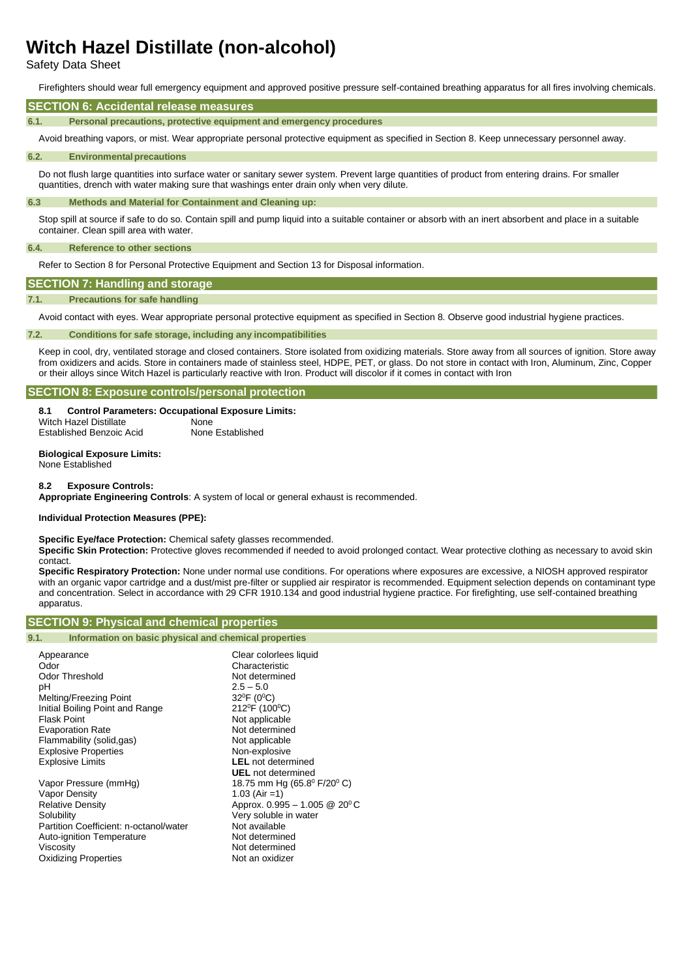Safety Data Sheet

Firefighters should wear full emergency equipment and approved positive pressure self-contained breathing apparatus for all fires involving chemicals.

#### **SECTION 6: Accidental release measures**

**6.1. Personal precautions, protective equipment and emergency procedures**

Avoid breathing vapors, or mist. Wear appropriate personal protective equipment as specified in Section 8. Keep unnecessary personnel away.

#### **6.2. Environmentalprecautions**

Do not flush large quantities into surface water or sanitary sewer system. Prevent large quantities of product from entering drains. For smaller quantities, drench with water making sure that washings enter drain only when very dilute.

#### **6.3 Methods and Material for Containment and Cleaning up:**

Stop spill at source if safe to do so. Contain spill and pump liquid into a suitable container or absorb with an inert absorbent and place in a suitable container. Clean spill area with water.

#### **6.4. Reference to other sections**

Refer to Section 8 for Personal Protective Equipment and Section 13 for Disposal information.

# **SECTION 7: Handling and storage**

### **7.1. Precautions for safe handling**

Avoid contact with eyes. Wear appropriate personal protective equipment as specified in Section 8. Observe good industrial hygiene practices.

#### **7.2. Conditions for safe storage, including any incompatibilities**

Keep in cool, dry, ventilated storage and closed containers. Store isolated from oxidizing materials. Store away from all sources of ignition. Store away from oxidizers and acids. Store in containers made of stainless steel, HDPE, PET, or glass. Do not store in contact with Iron, Aluminum, Zinc, Copper or their alloys since Witch Hazel is particularly reactive with Iron. Product will discolor if it comes in contact with Iron

#### **SECTION 8: Exposure controls/personal protection**

#### **8.1 Control Parameters: Occupational Exposure Limits:**

Witch Hazel Distillate **None** Established Benzoic Acid None Established

# **Biological Exposure Limits:**

None Established

#### **8.2 Exposure Controls:**

**Appropriate Engineering Controls**: A system of local or general exhaust is recommended.

#### **Individual Protection Measures (PPE):**

**Specific Eye/face Protection:** Chemical safety glasses recommended.

**Specific Skin Protection:** Protective gloves recommended if needed to avoid prolonged contact. Wear protective clothing as necessary to avoid skin contact.

**Specific Respiratory Protection:** None under normal use conditions. For operations where exposures are excessive, a NIOSH approved respirator with an organic vapor cartridge and a dust/mist pre-filter or supplied air respirator is recommended. Equipment selection depends on contaminant type and concentration. Select in accordance with 29 CFR 1910.134 and good industrial hygiene practice. For firefighting, use self-contained breathing apparatus.

#### **SECTION 9: Physical and chemical properties**

#### **9.1. Information on basic physical and chemical properties**

| Appearance                             | Clear colorlees liquid                          |
|----------------------------------------|-------------------------------------------------|
| Odor                                   | Characteristic                                  |
| <b>Odor Threshold</b>                  | Not determined                                  |
| рH                                     | $2.5 - 5.0$                                     |
| Melting/Freezing Point                 | $32^{\circ}F(0^{\circ}C)$                       |
| Initial Boiling Point and Range        | 212 <sup>°</sup> F (100 <sup>°</sup> C)         |
| <b>Flask Point</b>                     | Not applicable                                  |
| <b>Evaporation Rate</b>                | Not determined                                  |
| Flammability (solid,gas)               | Not applicable                                  |
| <b>Explosive Properties</b>            | Non-explosive                                   |
| <b>Explosive Limits</b>                | <b>LEL</b> not determined                       |
|                                        | <b>UEL</b> not determined                       |
| Vapor Pressure (mmHg)                  | 18.75 mm Hg (65.8 $^{\circ}$ F/20 $^{\circ}$ C) |
| Vapor Density                          | 1.03 (Air = 1)                                  |
| <b>Relative Density</b>                | Approx. $0.995 - 1.005 \& 20^{\circ} \text{C}$  |
| Solubility                             | Very soluble in water                           |
| Partition Coefficient: n-octanol/water | Not available                                   |
| Auto-ignition Temperature              | Not determined                                  |
| Viscosity                              | Not determined                                  |
| <b>Oxidizing Properties</b>            | Not an oxidizer                                 |
|                                        |                                                 |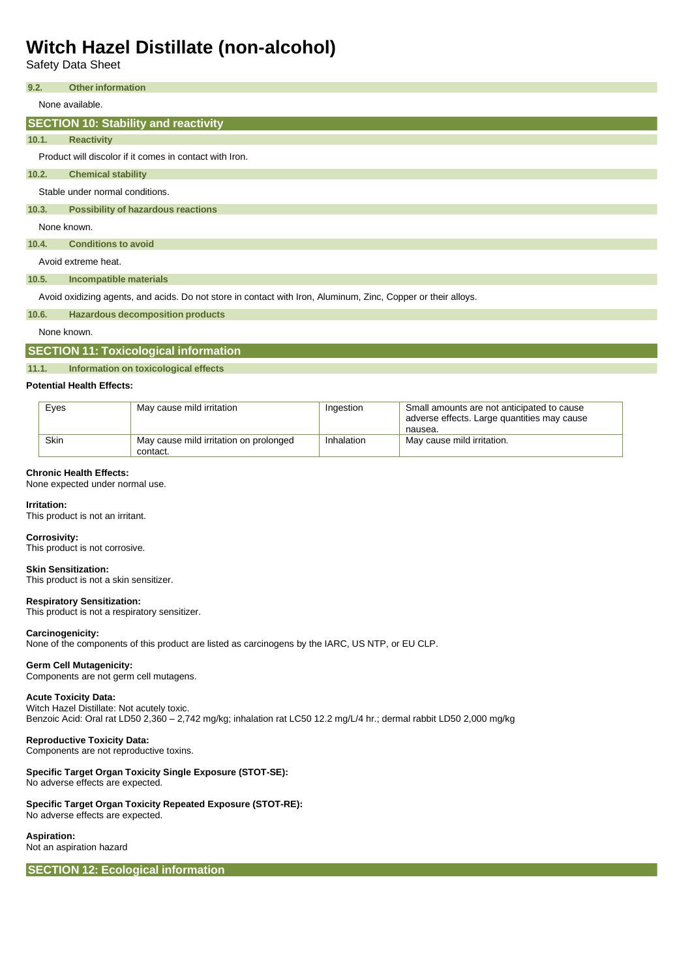Safety Data Sheet

# None available. Product will discolor if it comes in contact with Iron. Stable under normal conditions. None known. Avoid extreme heat. **9.2. Other information SECTION 10: Stability and reactivity 10.1. Reactivity 10.2. Chemical stability 10.3. Possibility of hazardous reactions 10.4. Conditions to avoid 10.5. Incompatible materials**

Avoid oxidizing agents, and acids. Do not store in contact with Iron, Aluminum, Zinc, Copper or their alloys.

**10.6. Hazardous decomposition products**

None known.

### **SECTION 11: Toxicological information**

#### **11.1. Information on toxicological effects**

#### **Potential Health Effects:**

| Eyes | May cause mild irritation                          | Ingestion  | Small amounts are not anticipated to cause<br>adverse effects. Large quantities may cause<br>nausea. |
|------|----------------------------------------------------|------------|------------------------------------------------------------------------------------------------------|
| Skin | May cause mild irritation on prolonged<br>contact. | Inhalation | May cause mild irritation.                                                                           |

#### **Chronic Health Effects:**

None expected under normal use.

#### **Irritation:**

This product is not an irritant.

#### **Corrosivity:**

This product is not corrosive.

#### **Skin Sensitization:**

This product is not a skin sensitizer.

#### **Respiratory Sensitization:**

This product is not a respiratory sensitizer.

#### **Carcinogenicity:**

None of the components of this product are listed as carcinogens by the IARC, US NTP, or EU CLP.

#### **Germ Cell Mutagenicity:**

Components are not germ cell mutagens.

#### **Acute Toxicity Data:**

Witch Hazel Distillate: Not acutely toxic. Benzoic Acid: Oral rat LD50 2,360 – 2,742 mg/kg; inhalation rat LC50 12.2 mg/L/4 hr.; dermal rabbit LD50 2,000 mg/kg

#### **Reproductive Toxicity Data:**

Components are not reproductive toxins.

### **Specific Target Organ Toxicity Single Exposure (STOT-SE):**

No adverse effects are expected.

## **Specific Target Organ Toxicity Repeated Exposure (STOT-RE):**

No adverse effects are expected.

### **Aspiration:**

Not an aspiration hazard

**SECTION 12: Ecological information**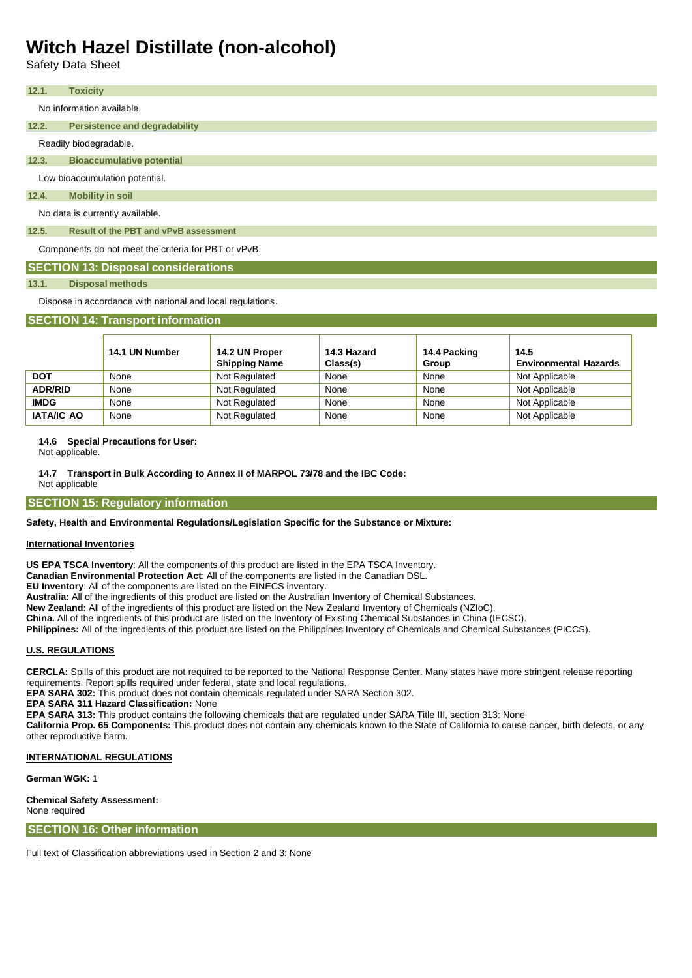Safety Data Sheet

| 12.1.                           | <b>Toxicity</b>                              |  |  |  |
|---------------------------------|----------------------------------------------|--|--|--|
|                                 | No information available.                    |  |  |  |
|                                 |                                              |  |  |  |
| 12.2.                           | <b>Persistence and degradability</b>         |  |  |  |
|                                 | Readily biodegradable.                       |  |  |  |
| 12.3.                           | <b>Bioaccumulative potential</b>             |  |  |  |
| Low bioaccumulation potential.  |                                              |  |  |  |
| 12.4.                           | <b>Mobility in soil</b>                      |  |  |  |
| No data is currently available. |                                              |  |  |  |
| 12.5.                           | <b>Result of the PBT and vPvB assessment</b> |  |  |  |
|                                 |                                              |  |  |  |

Components do not meet the criteria for PBT or vPvB.

# **SECTION 13: Disposal considerations**

### **13.1. Disposal methods**

Dispose in accordance with national and local regulations.

# **SECTION 14: Transport information**

|                   | 14.1 UN Number | 14.2 UN Proper<br><b>Shipping Name</b> | 14.3 Hazard<br>Class(s) | 14.4 Packing<br>Group | 14.5<br><b>Environmental Hazards</b> |
|-------------------|----------------|----------------------------------------|-------------------------|-----------------------|--------------------------------------|
| <b>DOT</b>        | None           | Not Regulated                          | None                    | None                  | Not Applicable                       |
| <b>ADR/RID</b>    | None           | Not Regulated                          | None                    | None                  | Not Applicable                       |
| <b>IMDG</b>       | None           | Not Regulated                          | None                    | None                  | Not Applicable                       |
| <b>IATA/IC AO</b> | None           | Not Regulated                          | None                    | None                  | Not Applicable                       |

# **14.6 Special Precautions for User:**

Not applicable.

**14.7 Transport in Bulk According to Annex II of MARPOL 73/78 and the IBC Code:**

Not applicable

# **SECTION 15: Regulatory information**

# **Safety, Health and Environmental Regulations/Legislation Specific for the Substance or Mixture:**

# **International Inventories**

**US EPA TSCA Inventory**: All the components of this product are listed in the EPA TSCA Inventory.

**Canadian Environmental Protection Act**: All of the components are listed in the Canadian DSL.

**EU Inventory**: All of the components are listed on the EINECS inventory.

**Australia:** All of the ingredients of this product are listed on the Australian Inventory of Chemical Substances.

**New Zealand:** All of the ingredients of this product are listed on the New Zealand Inventory of Chemicals (NZIoC),

**China.** All of the ingredients of this product are listed on the Inventory of Existing Chemical Substances in China (IECSC).

**Philippines:** All of the ingredients of this product are listed on the Philippines Inventory of Chemicals and Chemical Substances (PICCS).

# **U.S. REGULATIONS**

**CERCLA:** Spills of this product are not required to be reported to the National Response Center. Many states have more stringent release reporting requirements. Report spills required under federal, state and local regulations.

**EPA SARA 302:** This product does not contain chemicals regulated under SARA Section 302.

**EPA SARA 311 Hazard Classification:** None

**EPA SARA 313:** This product contains the following chemicals that are regulated under SARA Title III, section 313: None

**California Prop. 65 Components:** This product does not contain any chemicals known to the State of California to cause cancer, birth defects, or any other reproductive harm.

# **INTERNATIONAL REGULATIONS**

**German WGK:** 1

**Chemical Safety Assessment:** None required

**SECTION 16: Other information**

Full text of Classification abbreviations used in Section 2 and 3: None